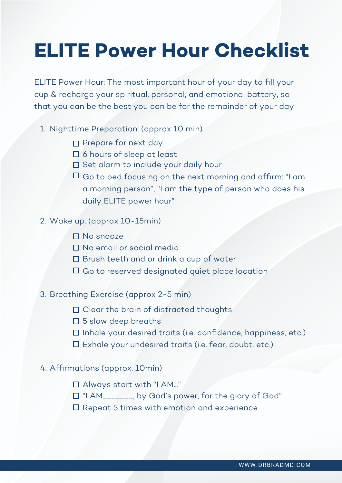# **ELITE Power Hour Checklist**

ELITE Power Hour: The most important hour of your day to fill your cup & recharge your spiritual, personal, and emotional battery, so that you can be the best you can be for the remainder of your day

- 1. Nighttime Preparation: (approx 10 min)
	- $\Box$  Prepare for next day
	- □ 6 hours of sleep at least
	- $\square$  Set alarm to include your daily hour
	- $\Box$  Go to bed focusing on the next morning and affirm: "I am a morning person", "I am the type of person who does his daily ELITE power hour"

## 2. Wake up: (approx 10-15min)

- $\Pi$  No snooze
- □ No email or social media
- □ Brush teeth and or drink a cup of water
- $\square$  Go to reserved designated quiet place location

## 3. Breathing Exercise (approx 2-5 min)

- $\square$  Clear the brain of distracted thoughts
- $\square$  5 slow deep breaths
- $\square$  Inhale your desired traits (i.e. confidence, happiness, etc.)
- $\square$  Exhale your undesired traits (i.e. fear, doubt, etc.)

## 4. Affirmations (approx. 10min)

- Always start with "I AM..."
- "I AM\_\_\_\_\_\_\_, by God's power, for the glory of God"
- $\square$  Repeat 5 times with emotion and experience